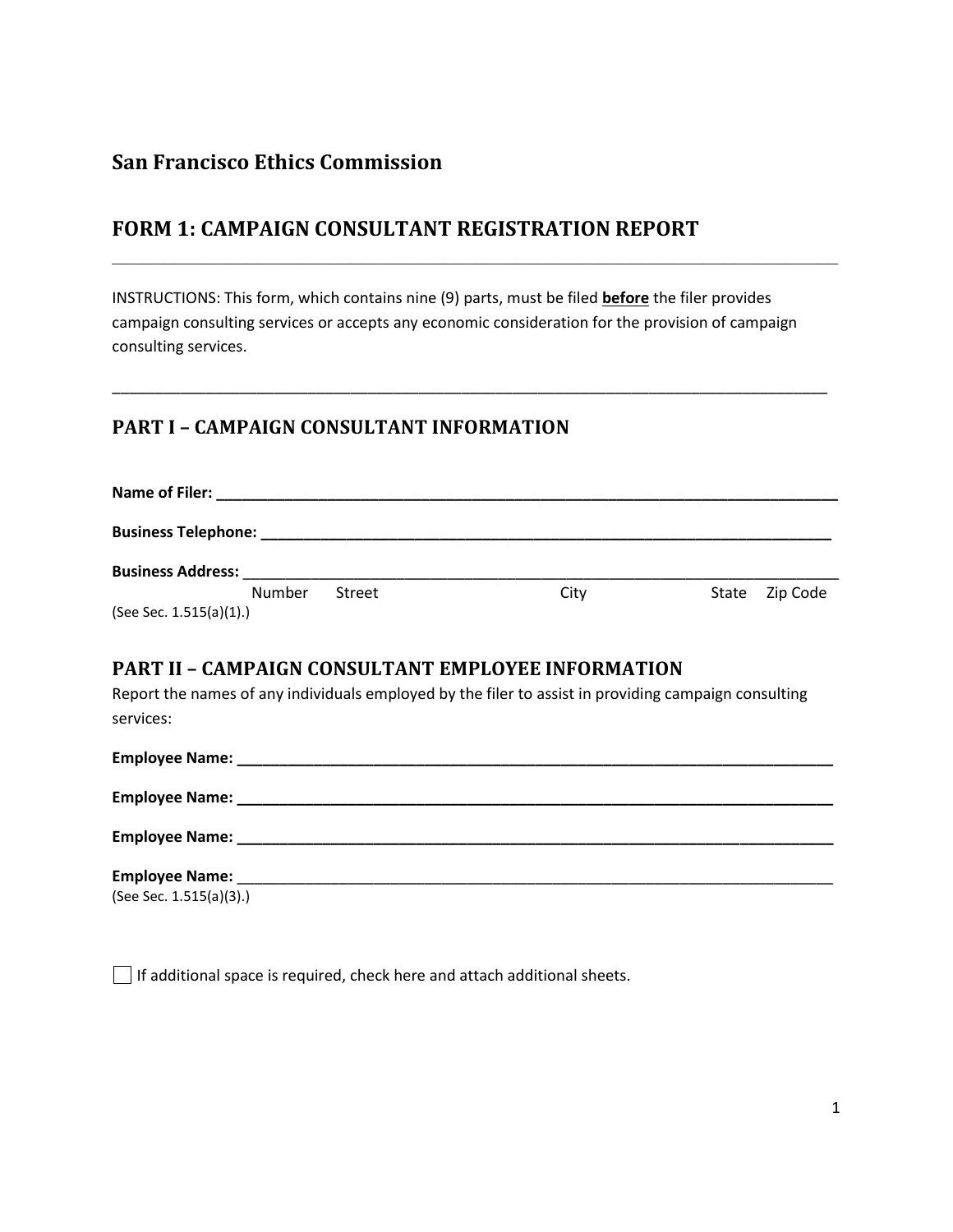# **San Francisco Ethics Commission**

# **FORM 1: CAMPAIGN CONSULTANT REGISTRATION REPORT**

INSTRUCTIONS: This form, which contains nine (9) parts, must be filed **before** the filer provides campaign consulting services or accepts any economic consideration for the provision of campaign consulting services.

\_\_\_\_\_\_\_\_\_\_\_\_\_\_\_\_\_\_\_\_\_\_\_\_\_\_\_\_\_\_\_\_\_\_\_\_\_\_\_\_\_\_\_\_\_\_\_\_\_\_\_\_\_\_\_\_\_\_\_\_\_\_\_\_\_\_\_\_\_\_\_\_\_\_\_\_\_\_\_\_\_\_\_\_

**\_\_\_\_\_\_\_\_\_\_\_\_\_\_\_\_\_\_\_\_\_\_\_\_\_\_\_\_\_\_\_\_\_\_\_\_\_\_\_\_\_\_\_\_\_\_\_\_\_\_\_\_\_\_\_\_\_\_\_\_\_\_\_\_\_\_\_\_\_\_**

### **PART I – CAMPAIGN CONSULTANT INFORMATION**

| Name of Filer:           |        |      |                |  |  |  |  |  |
|--------------------------|--------|------|----------------|--|--|--|--|--|
|                          |        |      |                |  |  |  |  |  |
| <b>Business Address:</b> |        |      |                |  |  |  |  |  |
| Number                   | Street | City | State Zip Code |  |  |  |  |  |
| (See Sec. 1.515(a)(1).)  |        |      |                |  |  |  |  |  |

### **PART II – CAMPAIGN CONSULTANT EMPLOYEE INFORMATION**

Report the names of any individuals employed by the filer to assist in providing campaign consulting services:

| (See Sec. 1.515(a)(3).) |  |
|-------------------------|--|

 $\Box$  If additional space is required, check here and attach additional sheets.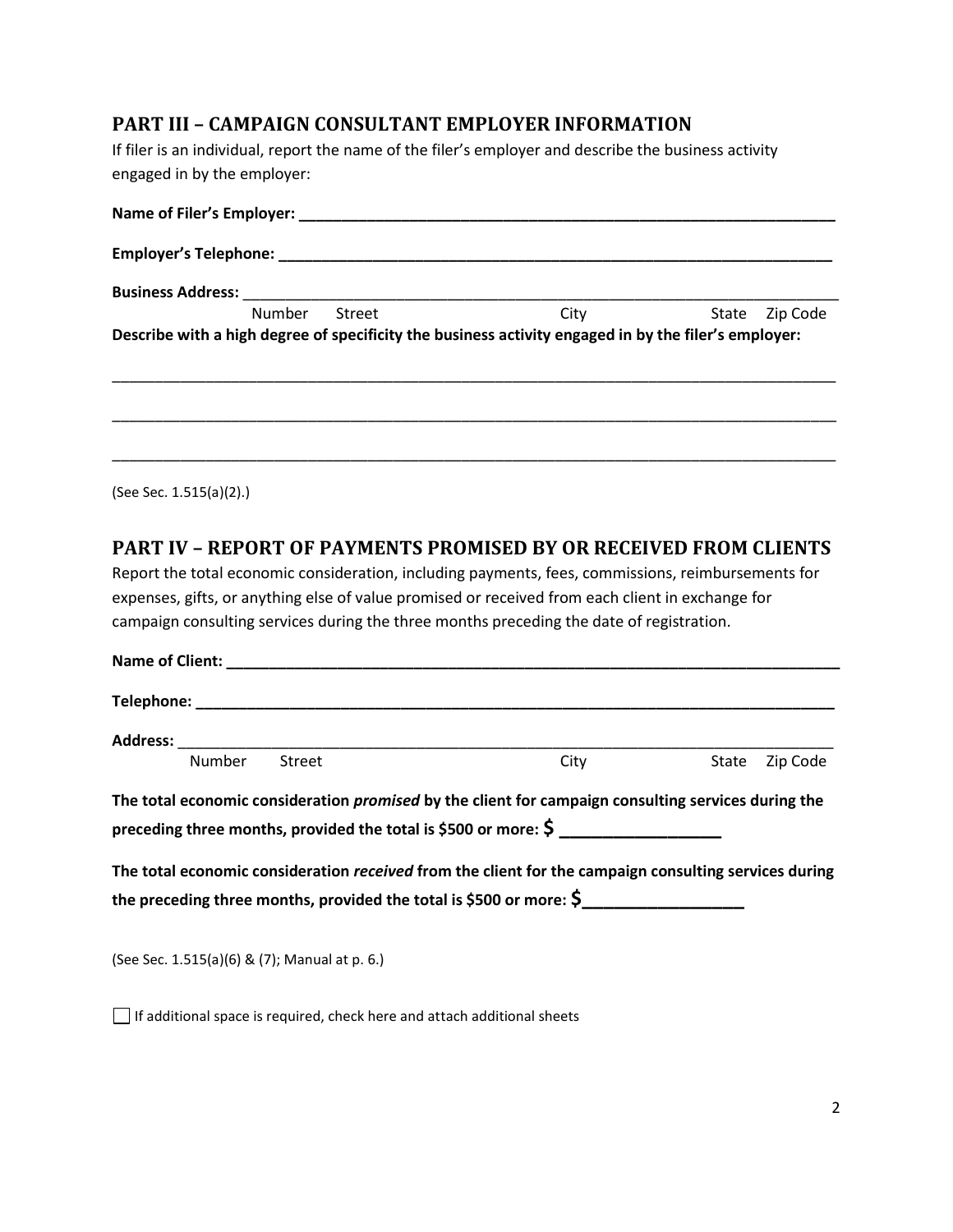### **PART III – CAMPAIGN CONSULTANT EMPLOYER INFORMATION**

If filer is an individual, report the name of the filer's employer and describe the business activity engaged in by the employer:

| Name of Filer's Employer: ________________ |        |        |                                                                                                      |                   |  |  |  |  |
|--------------------------------------------|--------|--------|------------------------------------------------------------------------------------------------------|-------------------|--|--|--|--|
|                                            |        |        |                                                                                                      |                   |  |  |  |  |
|                                            |        |        |                                                                                                      |                   |  |  |  |  |
|                                            | Number | Street | City                                                                                                 | Zip Code<br>State |  |  |  |  |
|                                            |        |        | Describe with a high degree of specificity the business activity engaged in by the filer's employer: |                   |  |  |  |  |
|                                            |        |        |                                                                                                      |                   |  |  |  |  |
|                                            |        |        |                                                                                                      |                   |  |  |  |  |

(See Sec. 1.515(a)(2).)

#### **PART IV – REPORT OF PAYMENTS PROMISED BY OR RECEIVED FROM CLIENTS**

Report the total economic consideration, including payments, fees, commissions, reimbursements for expenses, gifts, or anything else of value promised or received from each client in exchange for campaign consulting services during the three months preceding the date of registration.

| Number | <b>Street</b> | City                                                                                                       | State Zip Code |
|--------|---------------|------------------------------------------------------------------------------------------------------------|----------------|
|        |               | The total economic consideration <i>promised</i> by the client for campaign consulting services during the |                |
|        |               | preceding three months, provided the total is \$500 or more: $\frac{2}{5}$                                 |                |
|        |               | The total economic consideration received from the client for the campaign consulting services during      |                |
|        |               | the preceding three months, provided the total is \$500 or more: $\zeta$                                   |                |
|        |               |                                                                                                            |                |

(See Sec. 1.515(a)(6) & (7); Manual at p. 6.)

If additional space is required, check here and attach additional sheets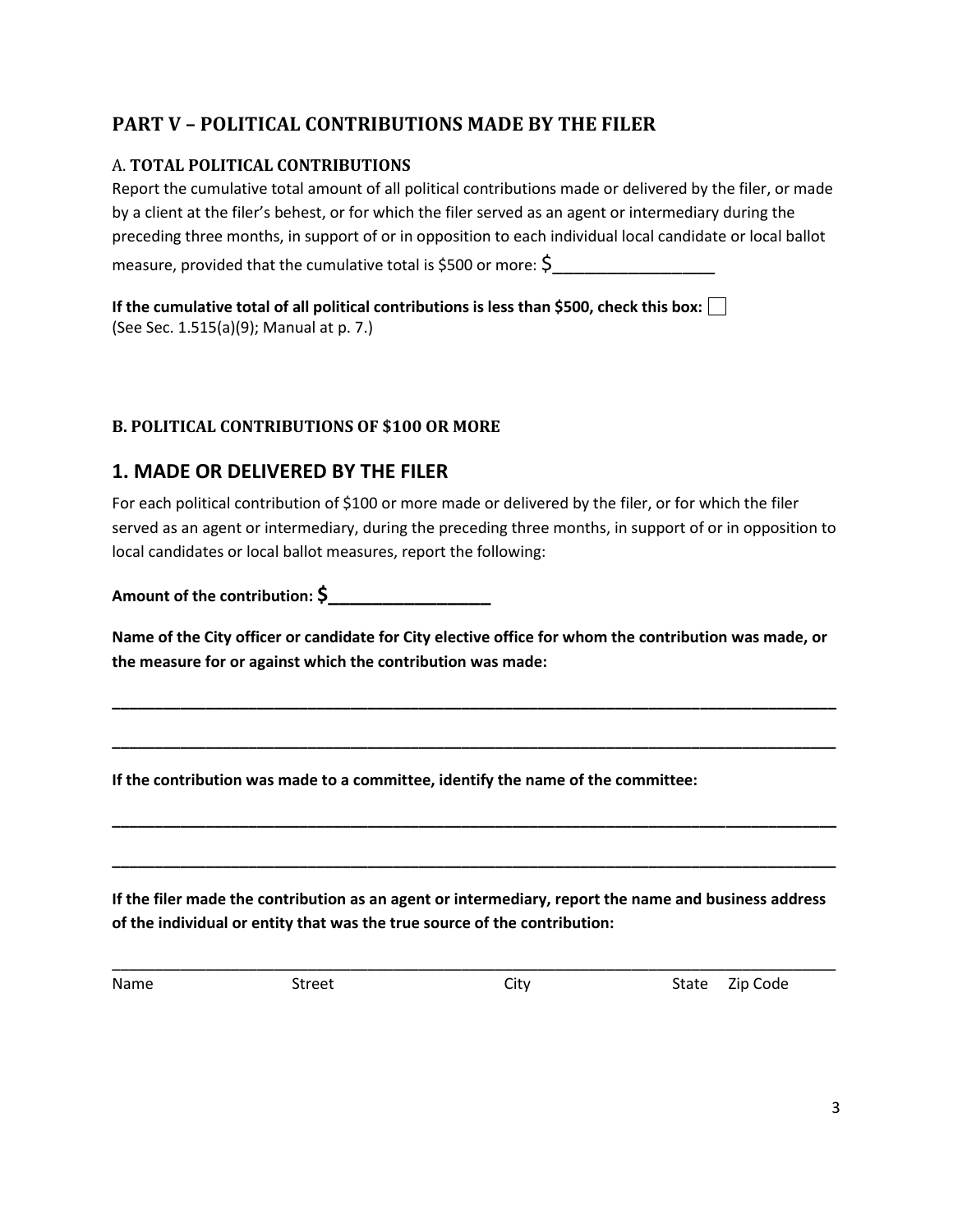# **PART V – POLITICAL CONTRIBUTIONS MADE BY THE FILER**

#### A. **TOTAL POLITICAL CONTRIBUTIONS**

Report the cumulative total amount of all political contributions made or delivered by the filer, or made by a client at the filer's behest, or for which the filer served as an agent or intermediary during the preceding three months, in support of or in opposition to each individual local candidate or local ballot measure, provided that the cumulative total is \$500 or more:  $\zeta$ 

**If the cumulative total of all political contributions is less than \$500, check this box:**  (See Sec. 1.515(a)(9); Manual at p. 7.)

### **B. POLITICAL CONTRIBUTIONS OF \$100 OR MORE**

# **1. MADE OR DELIVERED BY THE FILER**

For each political contribution of \$100 or more made or delivered by the filer, or for which the filer served as an agent or intermediary, during the preceding three months, in support of or in opposition to local candidates or local ballot measures, report the following:

**Amount of the contribution: \$\_\_\_\_\_\_\_\_\_\_\_\_\_\_\_**

**Name of the City officer or candidate for City elective office for whom the contribution was made, or the measure for or against which the contribution was made:**

**\_\_\_\_\_\_\_\_\_\_\_\_\_\_\_\_\_\_\_\_\_\_\_\_\_\_\_\_\_\_\_\_\_\_\_\_\_\_\_\_\_\_\_\_\_\_\_\_\_\_\_\_\_\_\_\_\_\_\_\_\_\_\_\_\_\_\_\_\_\_\_\_\_\_\_\_\_\_\_\_\_\_\_\_\_**

**\_\_\_\_\_\_\_\_\_\_\_\_\_\_\_\_\_\_\_\_\_\_\_\_\_\_\_\_\_\_\_\_\_\_\_\_\_\_\_\_\_\_\_\_\_\_\_\_\_\_\_\_\_\_\_\_\_\_\_\_\_\_\_\_\_\_\_\_\_\_\_\_\_\_\_\_\_\_\_\_\_\_\_\_\_**

**\_\_\_\_\_\_\_\_\_\_\_\_\_\_\_\_\_\_\_\_\_\_\_\_\_\_\_\_\_\_\_\_\_\_\_\_\_\_\_\_\_\_\_\_\_\_\_\_\_\_\_\_\_\_\_\_\_\_\_\_\_\_\_\_\_\_\_\_\_\_\_\_\_\_\_\_\_\_\_\_\_\_\_\_\_**

**\_\_\_\_\_\_\_\_\_\_\_\_\_\_\_\_\_\_\_\_\_\_\_\_\_\_\_\_\_\_\_\_\_\_\_\_\_\_\_\_\_\_\_\_\_\_\_\_\_\_\_\_\_\_\_\_\_\_\_\_\_\_\_\_\_\_\_\_\_\_\_\_\_\_\_\_\_\_\_\_\_\_\_\_\_**

**If the contribution was made to a committee, identify the name of the committee:**

**If the filer made the contribution as an agent or intermediary, report the name and business address of the individual or entity that was the true source of the contribution:**

\_\_\_\_\_\_\_\_\_\_\_\_\_\_\_\_\_\_\_\_\_\_\_\_\_\_\_\_\_\_\_\_\_\_\_\_\_\_\_\_\_\_\_\_\_\_\_\_\_\_\_\_\_\_\_\_\_\_\_\_\_\_\_\_\_\_\_\_\_\_\_\_\_\_\_\_\_\_\_\_\_\_\_\_\_

Name Street Street City City State Zip Code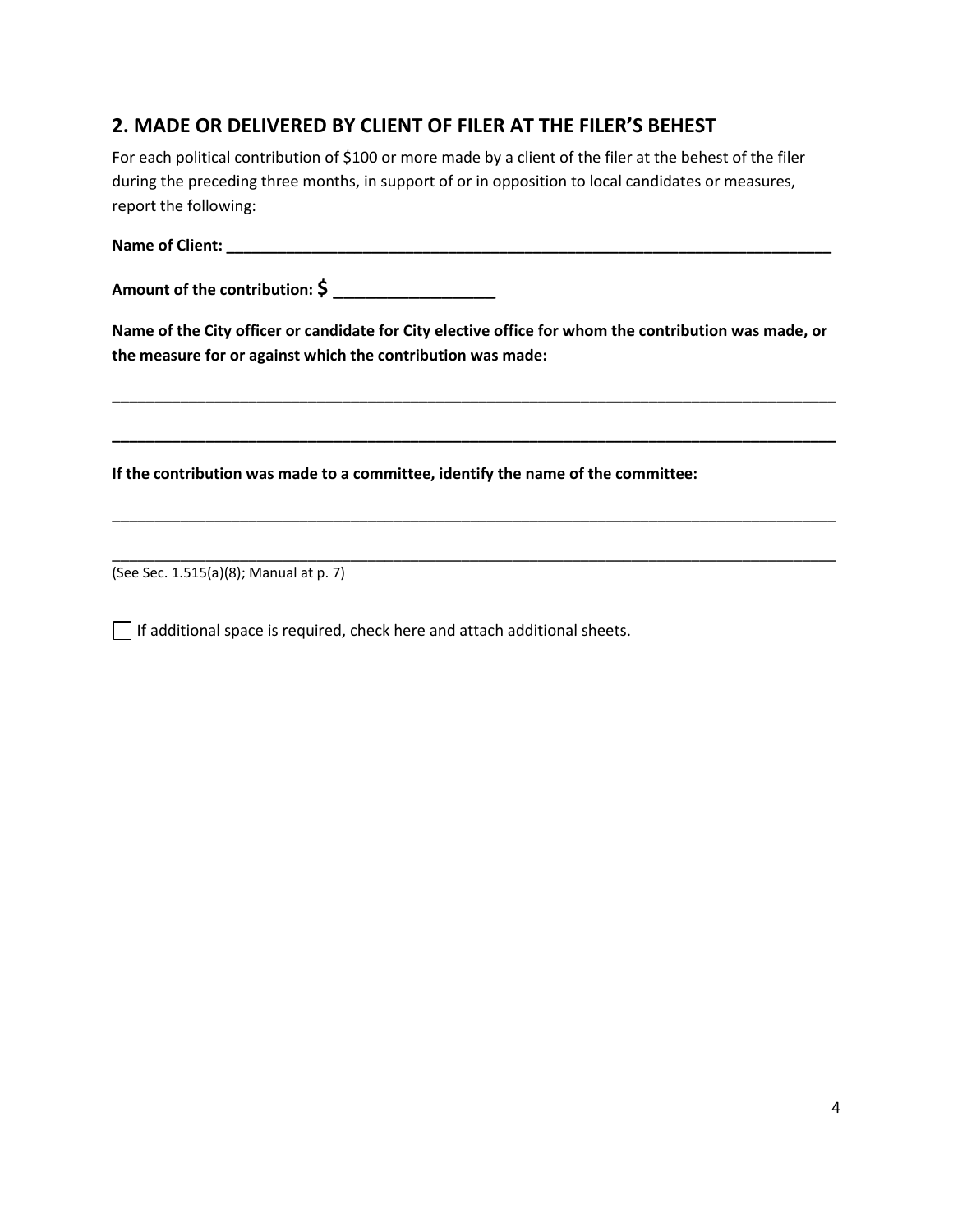# **2. MADE OR DELIVERED BY CLIENT OF FILER AT THE FILER'S BEHEST**

For each political contribution of \$100 or more made by a client of the filer at the behest of the filer during the preceding three months, in support of or in opposition to local candidates or measures, report the following:

**Name of Client: \_\_\_\_\_\_\_\_\_\_\_\_\_\_\_\_\_\_\_\_\_\_\_\_\_\_\_\_\_\_\_\_\_\_\_\_\_\_\_\_\_\_\_\_\_\_\_\_\_\_\_\_\_\_\_\_\_\_\_\_\_\_\_\_\_\_\_\_\_\_\_**

**Amount of the contribution: \$ \_\_\_\_\_\_\_\_\_\_\_\_\_\_\_**

**Name of the City officer or candidate for City elective office for whom the contribution was made, or the measure for or against which the contribution was made:**

**\_\_\_\_\_\_\_\_\_\_\_\_\_\_\_\_\_\_\_\_\_\_\_\_\_\_\_\_\_\_\_\_\_\_\_\_\_\_\_\_\_\_\_\_\_\_\_\_\_\_\_\_\_\_\_\_\_\_\_\_\_\_\_\_\_\_\_\_\_\_\_\_\_\_\_\_\_\_\_\_\_\_\_\_\_**

**\_\_\_\_\_\_\_\_\_\_\_\_\_\_\_\_\_\_\_\_\_\_\_\_\_\_\_\_\_\_\_\_\_\_\_\_\_\_\_\_\_\_\_\_\_\_\_\_\_\_\_\_\_\_\_\_\_\_\_\_\_\_\_\_\_\_\_\_\_\_\_\_\_\_\_\_\_\_\_\_\_\_\_\_\_**

\_\_\_\_\_\_\_\_\_\_\_\_\_\_\_\_\_\_\_\_\_\_\_\_\_\_\_\_\_\_\_\_\_\_\_\_\_\_\_\_\_\_\_\_\_\_\_\_\_\_\_\_\_\_\_\_\_\_\_\_\_\_\_\_\_\_\_\_\_\_\_\_\_\_\_\_\_\_\_\_\_\_\_\_\_

\_\_\_\_\_\_\_\_\_\_\_\_\_\_\_\_\_\_\_\_\_\_\_\_\_\_\_\_\_\_\_\_\_\_\_\_\_\_\_\_\_\_\_\_\_\_\_\_\_\_\_\_\_\_\_\_\_\_\_\_\_\_\_\_\_\_\_\_\_\_\_\_\_\_\_\_\_\_\_\_\_\_\_\_\_

**If the contribution was made to a committee, identify the name of the committee:**

(See Sec. 1.515(a)(8); Manual at p. 7)

If additional space is required, check here and attach additional sheets.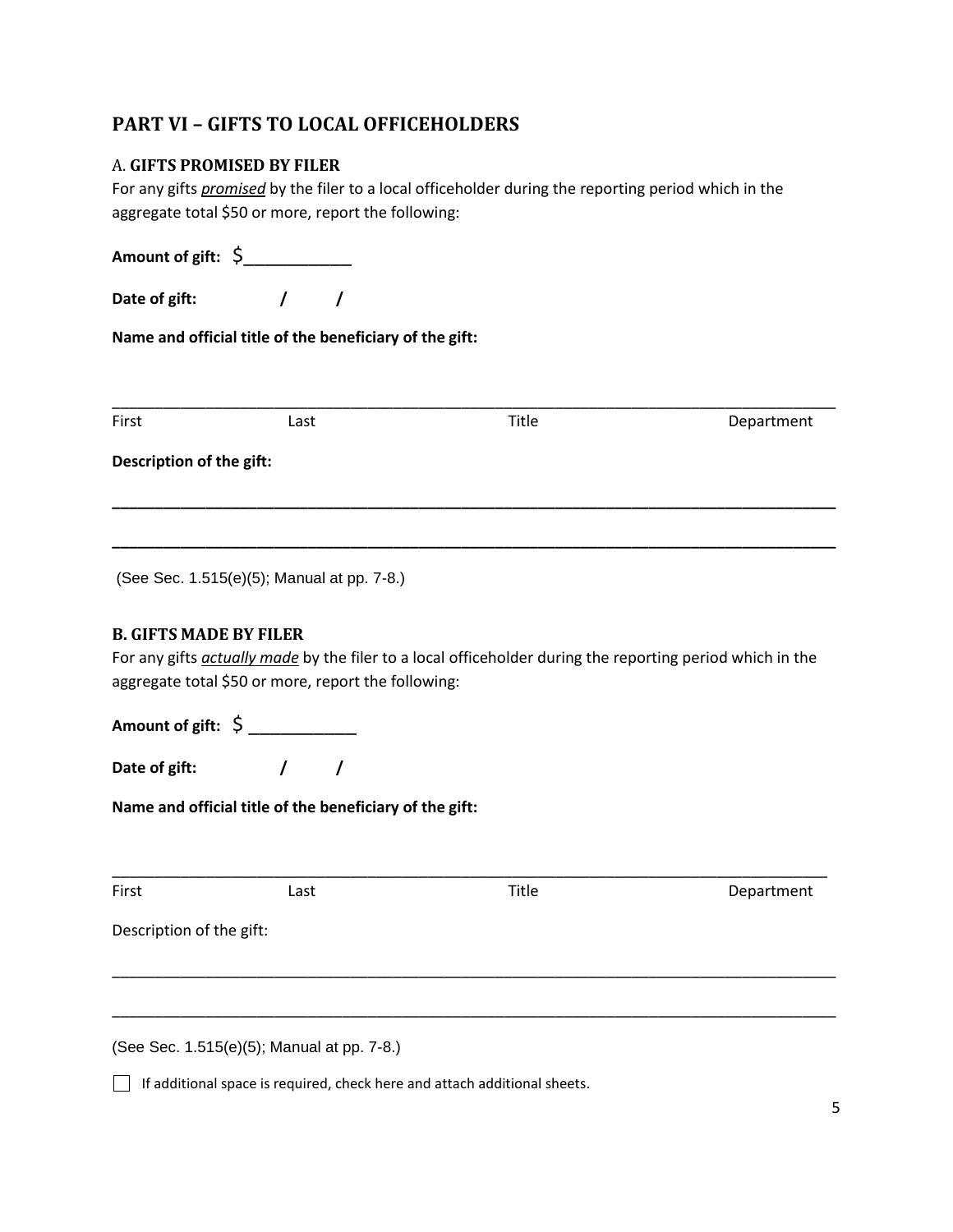# **PART VI – GIFTS TO LOCAL OFFICEHOLDERS**

#### A. **GIFTS PROMISED BY FILER**

For any gifts *promised* by the filer to a local officeholder during the reporting period which in the aggregate total \$50 or more, report the following:

**Amount of gift:** \$\_\_\_\_\_\_\_\_\_\_ **Date of gift: / / Name and official title of the beneficiary of the gift:** \_\_\_\_\_\_\_\_\_\_\_\_\_\_\_\_\_\_\_\_\_\_\_\_\_\_\_\_\_\_\_\_\_\_\_\_\_\_\_\_\_\_\_\_\_\_\_\_\_\_\_\_\_\_\_\_\_\_\_\_\_\_\_\_\_\_\_\_\_\_\_\_\_\_\_\_\_\_\_\_\_\_\_\_\_ First **Example 2** Last **Constanting Last** Constanting Title **Constanting Department Description of the gift: \_\_\_\_\_\_\_\_\_\_\_\_\_\_\_\_\_\_\_\_\_\_\_\_\_\_\_\_\_\_\_\_\_\_\_\_\_\_\_\_\_\_\_\_\_\_\_\_\_\_\_\_\_\_\_\_\_\_\_\_\_\_\_\_\_\_\_\_\_\_\_\_\_\_\_\_\_\_\_\_\_\_\_\_\_ \_\_\_\_\_\_\_\_\_\_\_\_\_\_\_\_\_\_\_\_\_\_\_\_\_\_\_\_\_\_\_\_\_\_\_\_\_\_\_\_\_\_\_\_\_\_\_\_\_\_\_\_\_\_\_\_\_\_\_\_\_\_\_\_\_\_\_\_\_\_\_\_\_\_\_\_\_\_\_\_\_\_\_\_\_** (See Sec. 1.515(e)(5); Manual at pp. 7-8.) **B. GIFTS MADE BY FILER** For any gifts *actually made* by the filer to a local officeholder during the reporting period which in the aggregate total \$50 or more, report the following: **Amount of gift:** \$ \_\_\_\_\_\_\_\_\_\_ **Date of gift: / / Name and official title of the beneficiary of the gift:** \_\_\_\_\_\_\_\_\_\_\_\_\_\_\_\_\_\_\_\_\_\_\_\_\_\_\_\_\_\_\_\_\_\_\_\_\_\_\_\_\_\_\_\_\_\_\_\_\_\_\_\_\_\_\_\_\_\_\_\_\_\_\_\_\_\_\_\_\_\_\_\_\_\_\_\_\_\_\_\_\_\_\_\_ First **Example 2** Last **Contract Contract Contract Contract Contract Contract Contract Contract Contract Contract Contract Contract Contract Contract Contract Contract Contract Contract Contract Contract Contract Contract** Description of the gift: \_\_\_\_\_\_\_\_\_\_\_\_\_\_\_\_\_\_\_\_\_\_\_\_\_\_\_\_\_\_\_\_\_\_\_\_\_\_\_\_\_\_\_\_\_\_\_\_\_\_\_\_\_\_\_\_\_\_\_\_\_\_\_\_\_\_\_\_\_\_\_\_\_\_\_\_\_\_\_\_\_\_\_\_\_ \_\_\_\_\_\_\_\_\_\_\_\_\_\_\_\_\_\_\_\_\_\_\_\_\_\_\_\_\_\_\_\_\_\_\_\_\_\_\_\_\_\_\_\_\_\_\_\_\_\_\_\_\_\_\_\_\_\_\_\_\_\_\_\_\_\_\_\_\_\_\_\_\_\_\_\_\_\_\_\_\_\_\_\_\_

(See Sec. 1.515(e)(5); Manual at pp. 7-8.)

If additional space is required, check here and attach additional sheets.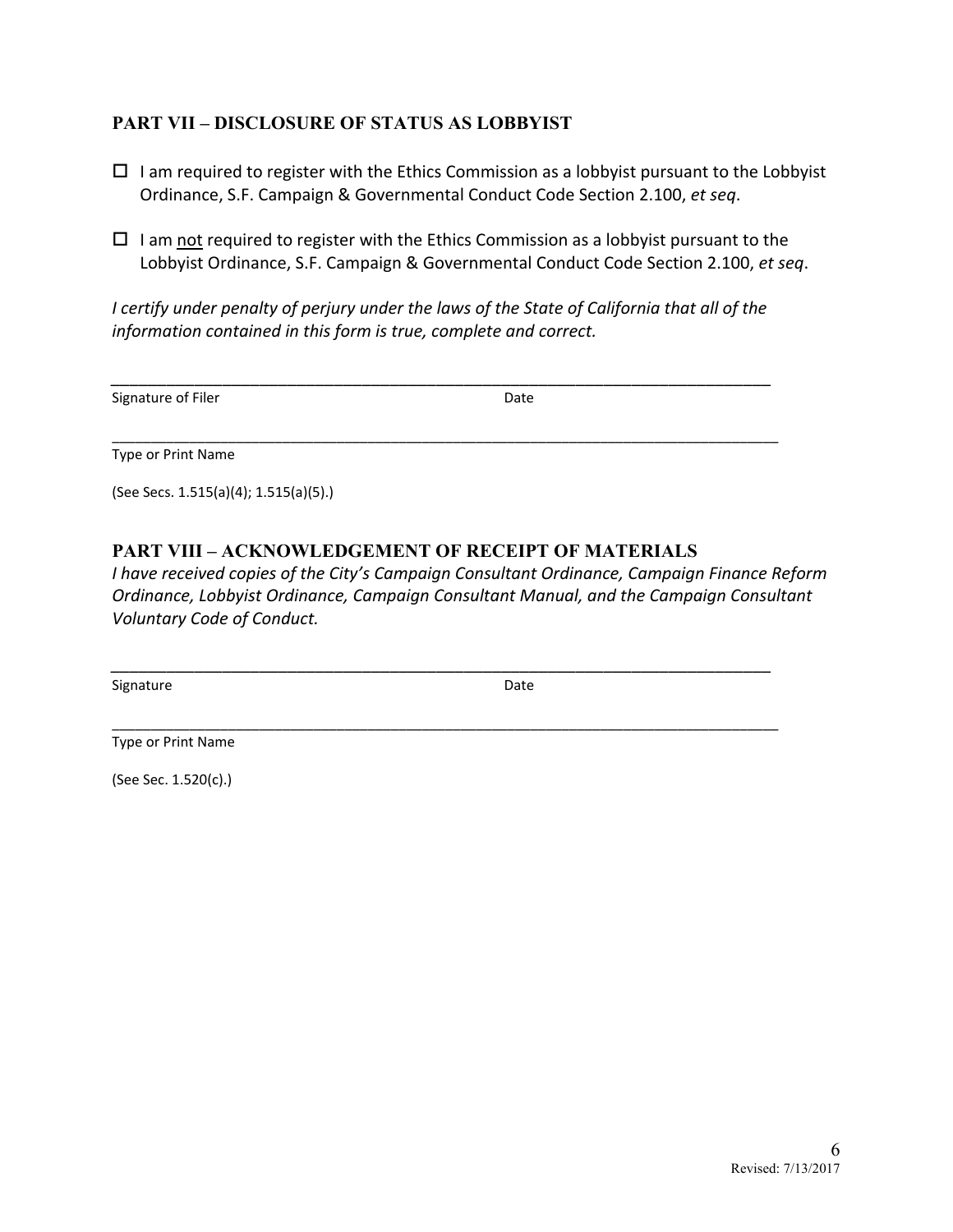### **PART VII – DISCLOSURE OF STATUS AS LOBBYIST**

- $\Box$  I am required to register with the Ethics Commission as a lobbyist pursuant to the Lobbyist Ordinance, S.F. Campaign & Governmental Conduct Code Section 2.100, *et seq*.
- $\Box$  I am not required to register with the Ethics Commission as a lobbyist pursuant to the Lobbyist Ordinance, S.F. Campaign & Governmental Conduct Code Section 2.100, *et seq*.

*I certify under penalty of perjury under the laws of the State of California that all of the information contained in this form is true, complete and correct.* 

*\_\_\_\_\_\_\_\_\_\_\_\_\_\_\_\_\_\_\_\_\_\_\_\_\_\_\_\_\_\_\_\_\_\_\_\_\_\_\_\_\_\_\_\_\_\_\_\_\_\_\_\_\_\_\_\_\_\_\_\_\_\_\_\_\_\_\_\_\_\_\_* 

\_\_\_\_\_\_\_\_\_\_\_\_\_\_\_\_\_\_\_\_\_\_\_\_\_\_\_\_\_\_\_\_\_\_\_\_\_\_\_\_\_\_\_\_\_\_\_\_\_\_\_\_\_\_\_\_\_\_\_\_\_\_\_\_\_\_\_\_\_\_\_\_\_\_\_\_\_\_\_\_\_\_\_\_\_\_

Signature of Filer **Date** 

Type or Print Name

(See Secs. 1.515(a)(4); 1.515(a)(5).)

### **PART VIII – ACKNOWLEDGEMENT OF RECEIPT OF MATERIALS**

*I have received copies of the City's Campaign Consultant Ordinance, Campaign Finance Reform Ordinance, Lobbyist Ordinance, Campaign Consultant Manual, and the Campaign Consultant Voluntary Code of Conduct.* 

*\_\_\_\_\_\_\_\_\_\_\_\_\_\_\_\_\_\_\_\_\_\_\_\_\_\_\_\_\_\_\_\_\_\_\_\_\_\_\_\_\_\_\_\_\_\_\_\_\_\_\_\_\_\_\_\_\_\_\_\_\_\_\_\_\_\_\_\_\_\_\_*

\_\_\_\_\_\_\_\_\_\_\_\_\_\_\_\_\_\_\_\_\_\_\_\_\_\_\_\_\_\_\_\_\_\_\_\_\_\_\_\_\_\_\_\_\_\_\_\_\_\_\_\_\_\_\_\_\_\_\_\_\_\_\_\_\_\_\_\_\_\_\_\_\_\_\_\_\_\_\_\_\_\_\_\_\_\_

Signature **Date** 

Type or Print Name

(See Sec. 1.520(c).)